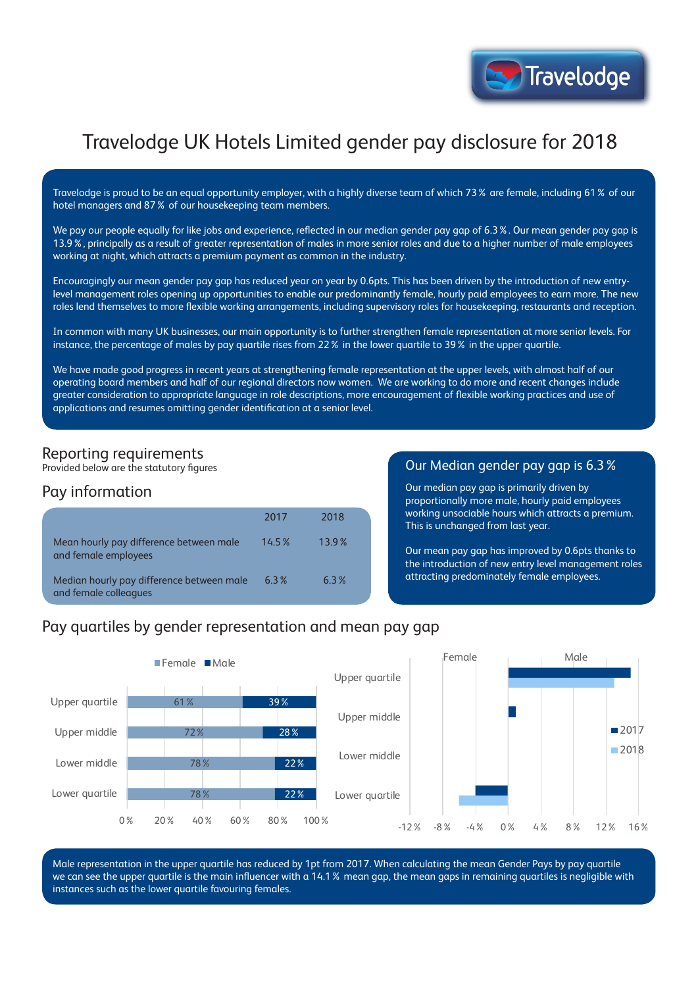

# Travelodge UK Hotels Limited gender pay disclosure for 2018

Travelodge is proud to be an equal opportunity employer, with a highly diverse team of which 73% are female, including 61% of our hotel managers and 87% of our housekeeping team members.

We pay our people equally for like jobs and experience, reflected in our median gender pay gap of 6.3%. Our mean gender pay gap is 13.9%, principally as a result of greater representation of males in more senior roles and due to a higher number of male employees working at night, which attracts a premium payment as common in the industry.

Encouragingly our mean gender pay gap has reduced year on year by 0.6pts. This has been driven by the introduction of new entrylevel management roles opening up opportunities to enable our predominantly female, hourly paid employees to earn more. The new roles lend themselves to more flexible working arrangements, including supervisory roles for housekeeping, restaurants and reception.

In common with many UK businesses, our main opportunity is to further strengthen female representation at more senior levels. For instance, the percentage of males by pay quartile rises from 22% in the lower quartile to 39% in the upper quartile.

We have made good progress in recent years at strengthening female representation at the upper levels, with almost half of our operating board members and half of our regional directors now women. We are working to do more and recent changes include greater consideration to appropriate language in role descriptions, more encouragement of flexible working practices and use of applications and resumes omitting gender identification at a senior level.

## Reporting requirements

Provided below are the statutory figures

### Pay information

|                                                                    | 2017     | 2018  |
|--------------------------------------------------------------------|----------|-------|
| Mean hourly pay difference between male<br>and female employees    | $14.5\%$ | 13.9% |
| Median hourly pay difference between male<br>and female colleagues | 6.3%     | 6.3%  |

#### Our Median gender pay gap is 6.3%

Our median pay gap is primarily driven by proportionally more male, hourly paid employees working unsociable hours which attracts a premium. This is unchanged from last year.

Our mean pay gap has improved by 0.6pts thanks to the introduction of new entry level management roles attracting predominately female employees.

## Pay quartiles by gender representation and mean pay gap



Male representation in the upper quartile has reduced by 1pt from 2017. When calculating the mean Gender Pays by pay quartile we can see the upper quartile is the main influencer with a 14.1% mean gap, the mean gaps in remaining quartiles is negligible with instances such as the lower quartile favouring females.